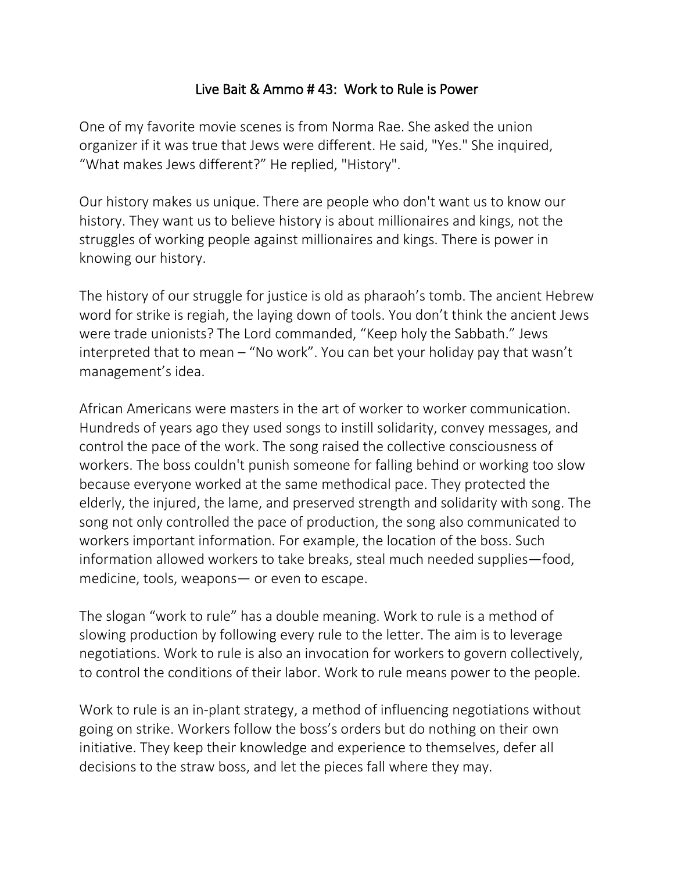## Live Bait & Ammo # 43: Work to Rule is Power

One of my favorite movie scenes is from Norma Rae. She asked the union organizer if it was true that Jews were different. He said, "Yes." She inquired, "What makes Jews different?" He replied, "History".

Our history makes us unique. There are people who don't want us to know our history. They want us to believe history is about millionaires and kings, not the struggles of working people against millionaires and kings. There is power in knowing our history.

The history of our struggle for justice is old as pharaoh's tomb. The ancient Hebrew word for strike is regiah, the laying down of tools. You don't think the ancient Jews were trade unionists? The Lord commanded, "Keep holy the Sabbath." Jews interpreted that to mean – "No work". You can bet your holiday pay that wasn't management's idea.

African Americans were masters in the art of worker to worker communication. Hundreds of years ago they used songs to instill solidarity, convey messages, and control the pace of the work. The song raised the collective consciousness of workers. The boss couldn't punish someone for falling behind or working too slow because everyone worked at the same methodical pace. They protected the elderly, the injured, the lame, and preserved strength and solidarity with song. The song not only controlled the pace of production, the song also communicated to workers important information. For example, the location of the boss. Such information allowed workers to take breaks, steal much needed supplies—food, medicine, tools, weapons— or even to escape.

The slogan "work to rule" has a double meaning. Work to rule is a method of slowing production by following every rule to the letter. The aim is to leverage negotiations. Work to rule is also an invocation for workers to govern collectively, to control the conditions of their labor. Work to rule means power to the people.

Work to rule is an in-plant strategy, a method of influencing negotiations without going on strike. Workers follow the boss's orders but do nothing on their own initiative. They keep their knowledge and experience to themselves, defer all decisions to the straw boss, and let the pieces fall where they may.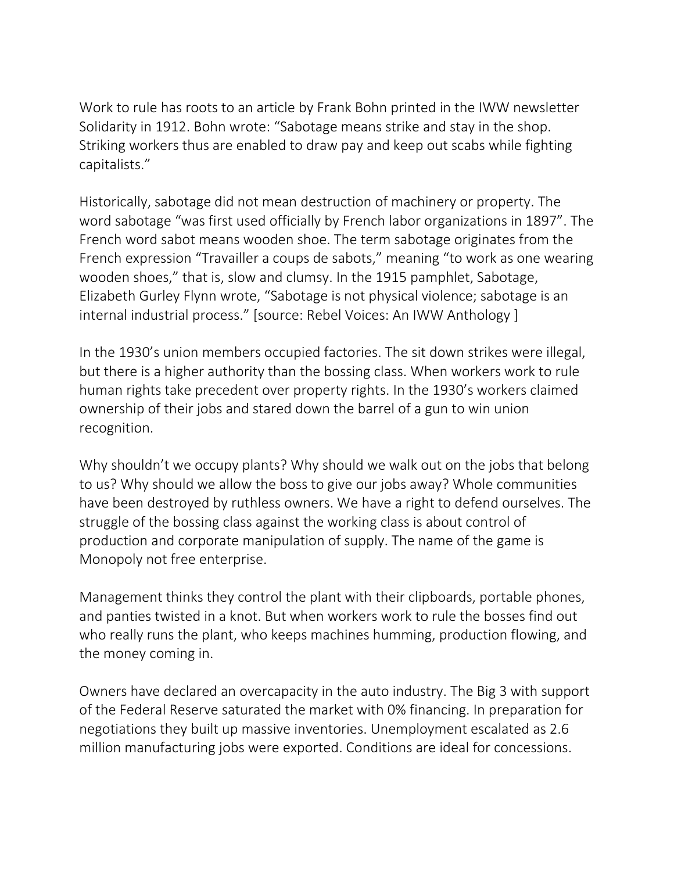Work to rule has roots to an article by Frank Bohn printed in the IWW newsletter Solidarity in 1912. Bohn wrote: "Sabotage means strike and stay in the shop. Striking workers thus are enabled to draw pay and keep out scabs while fighting capitalists."

Historically, sabotage did not mean destruction of machinery or property. The word sabotage "was first used officially by French labor organizations in 1897". The French word sabot means wooden shoe. The term sabotage originates from the French expression "Travailler a coups de sabots," meaning "to work as one wearing wooden shoes," that is, slow and clumsy. In the 1915 pamphlet, Sabotage, Elizabeth Gurley Flynn wrote, "Sabotage is not physical violence; sabotage is an internal industrial process." [source: Rebel Voices: An IWW Anthology ]

In the 1930's union members occupied factories. The sit down strikes were illegal, but there is a higher authority than the bossing class. When workers work to rule human rights take precedent over property rights. In the 1930's workers claimed ownership of their jobs and stared down the barrel of a gun to win union recognition.

Why shouldn't we occupy plants? Why should we walk out on the jobs that belong to us? Why should we allow the boss to give our jobs away? Whole communities have been destroyed by ruthless owners. We have a right to defend ourselves. The struggle of the bossing class against the working class is about control of production and corporate manipulation of supply. The name of the game is Monopoly not free enterprise.

Management thinks they control the plant with their clipboards, portable phones, and panties twisted in a knot. But when workers work to rule the bosses find out who really runs the plant, who keeps machines humming, production flowing, and the money coming in.

Owners have declared an overcapacity in the auto industry. The Big 3 with support of the Federal Reserve saturated the market with 0% financing. In preparation for negotiations they built up massive inventories. Unemployment escalated as 2.6 million manufacturing jobs were exported. Conditions are ideal for concessions.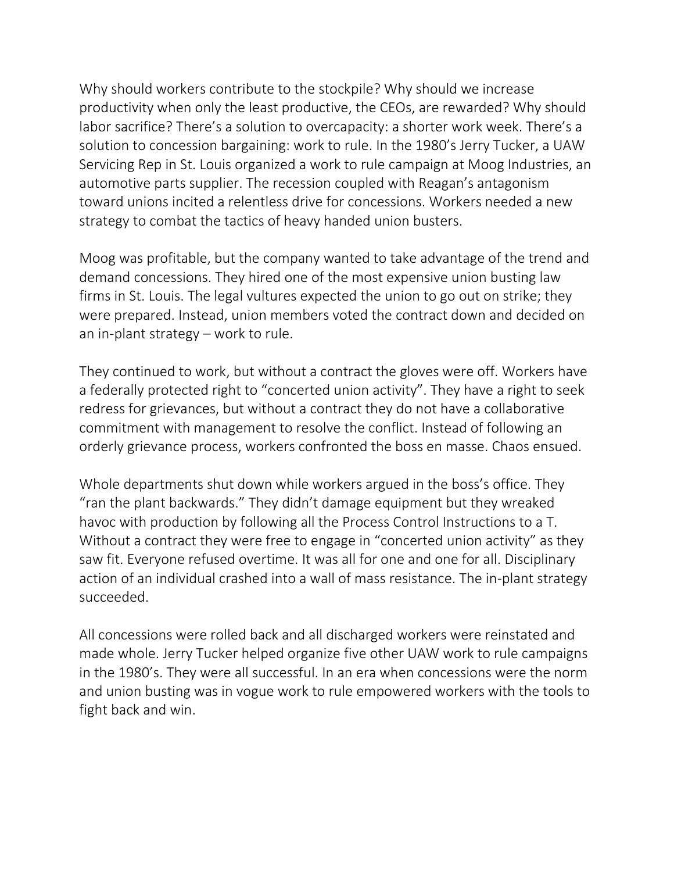Why should workers contribute to the stockpile? Why should we increase productivity when only the least productive, the CEOs, are rewarded? Why should labor sacrifice? There's a solution to overcapacity: a shorter work week. There's a solution to concession bargaining: work to rule. In the 1980's Jerry Tucker, a UAW Servicing Rep in St. Louis organized a work to rule campaign at Moog Industries, an automotive parts supplier. The recession coupled with Reagan's antagonism toward unions incited a relentless drive for concessions. Workers needed a new strategy to combat the tactics of heavy handed union busters.

Moog was profitable, but the company wanted to take advantage of the trend and demand concessions. They hired one of the most expensive union busting law firms in St. Louis. The legal vultures expected the union to go out on strike; they were prepared. Instead, union members voted the contract down and decided on an in-plant strategy – work to rule.

They continued to work, but without a contract the gloves were off. Workers have a federally protected right to "concerted union activity". They have a right to seek redress for grievances, but without a contract they do not have a collaborative commitment with management to resolve the conflict. Instead of following an orderly grievance process, workers confronted the boss en masse. Chaos ensued.

Whole departments shut down while workers argued in the boss's office. They "ran the plant backwards." They didn't damage equipment but they wreaked havoc with production by following all the Process Control Instructions to a T. Without a contract they were free to engage in "concerted union activity" as they saw fit. Everyone refused overtime. It was all for one and one for all. Disciplinary action of an individual crashed into a wall of mass resistance. The in-plant strategy succeeded.

All concessions were rolled back and all discharged workers were reinstated and made whole. Jerry Tucker helped organize five other UAW work to rule campaigns in the 1980's. They were all successful. In an era when concessions were the norm and union busting was in vogue work to rule empowered workers with the tools to fight back and win.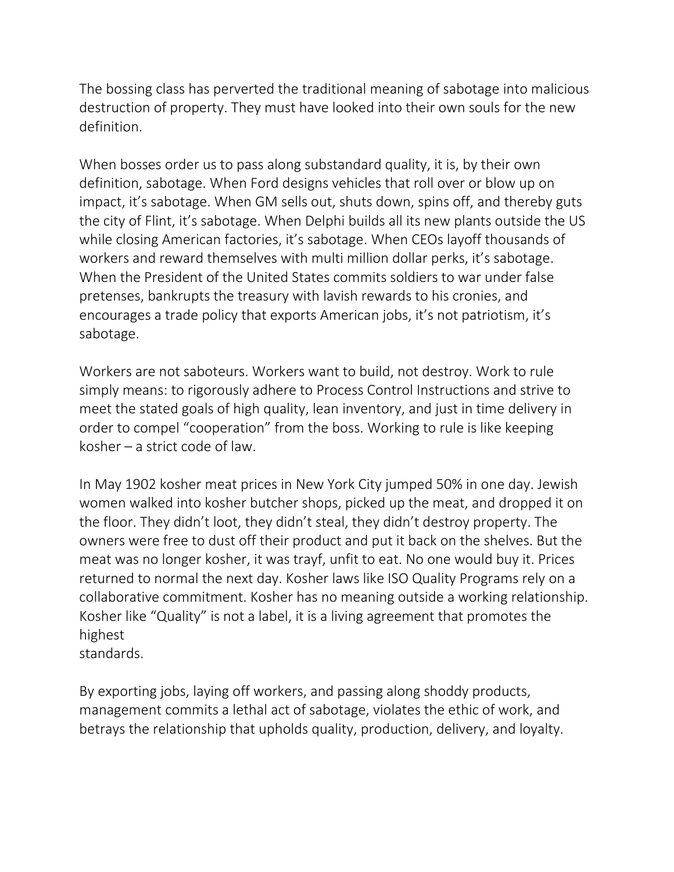The bossing class has perverted the traditional meaning of sabotage into malicious destruction of property. They must have looked into their own souls for the new definition.

When bosses order us to pass along substandard quality, it is, by their own definition, sabotage. When Ford designs vehicles that roll over or blow up on impact, it's sabotage. When GM sells out, shuts down, spins off, and thereby guts the city of Flint, it's sabotage. When Delphi builds all its new plants outside the US while closing American factories, it's sabotage. When CEOs layoff thousands of workers and reward themselves with multi million dollar perks, it's sabotage. When the President of the United States commits soldiers to war under false pretenses, bankrupts the treasury with lavish rewards to his cronies, and encourages a trade policy that exports American jobs, it's not patriotism, it's sabotage.

Workers are not saboteurs. Workers want to build, not destroy. Work to rule simply means: to rigorously adhere to Process Control Instructions and strive to meet the stated goals of high quality, lean inventory, and just in time delivery in order to compel "cooperation" from the boss. Working to rule is like keeping kosher – a strict code of law.

In May 1902 kosher meat prices in New York City jumped 50% in one day. Jewish women walked into kosher butcher shops, picked up the meat, and dropped it on the floor. They didn't loot, they didn't steal, they didn't destroy property. The owners were free to dust off their product and put it back on the shelves. But the meat was no longer kosher, it was trayf, unfit to eat. No one would buy it. Prices returned to normal the next day. Kosher laws like ISO Quality Programs rely on a collaborative commitment. Kosher has no meaning outside a working relationship. Kosher like "Quality" is not a label, it is a living agreement that promotes the highest

standards.

By exporting jobs, laying off workers, and passing along shoddy products, management commits a lethal act of sabotage, violates the ethic of work, and betrays the relationship that upholds quality, production, delivery, and loyalty.